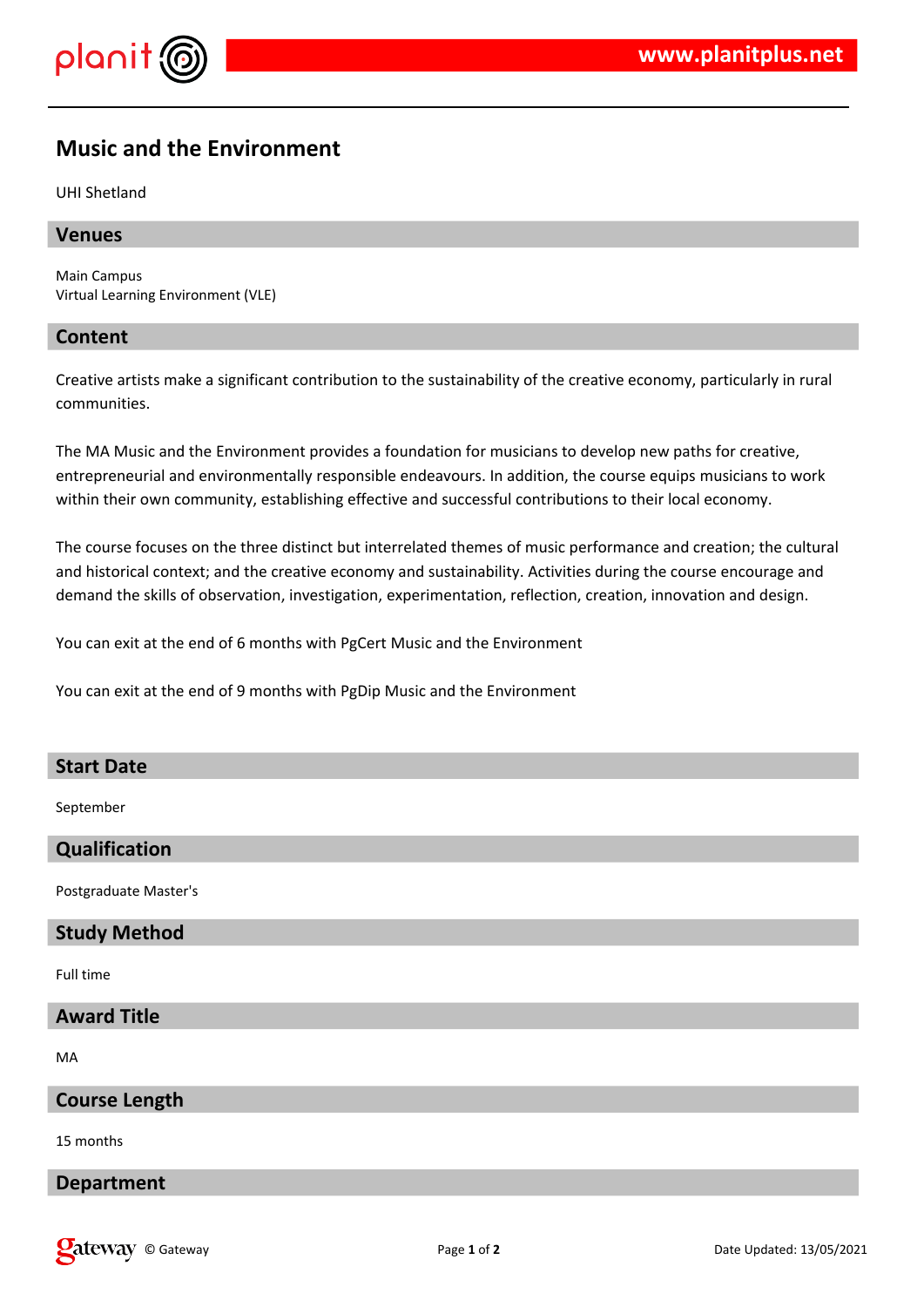

# **Music and the Environment**

UHI Shetland

## **Venues**

Main Campus Virtual Learning Environment (VLE)

## **Content**

Creative artists make a significant contribution to the sustainability of the creative economy, particularly in rural communities.

The MA Music and the Environment provides a foundation for musicians to develop new paths for creative, entrepreneurial and environmentally responsible endeavours. In addition, the course equips musicians to work within their own community, establishing effective and successful contributions to their local economy.

The course focuses on the three distinct but interrelated themes of music performance and creation; the cultural and historical context; and the creative economy and sustainability. Activities during the course encourage and demand the skills of observation, investigation, experimentation, reflection, creation, innovation and design.

You can exit at the end of 6 months with PgCert Music and the Environment

You can exit at the end of 9 months with PgDip Music and the Environment

#### **Start Date**

September

#### **Qualification**

Postgraduate Master's

# **Study Method**

Full time

#### **Award Title**

MA

#### **Course Length**

15 months

#### **Department**